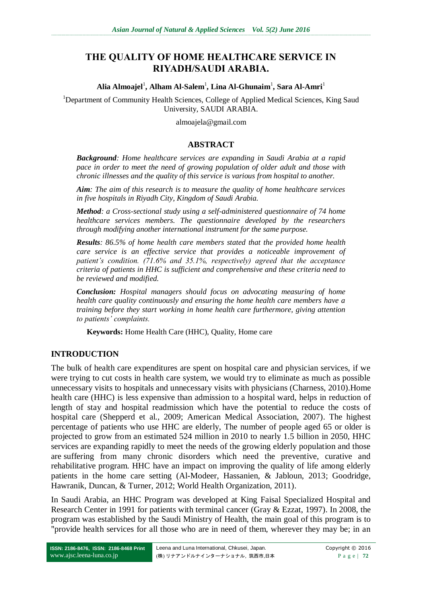# **THE QUALITY OF HOME HEALTHCARE SERVICE IN RIYADH/SAUDI ARABIA.**

**Alia Almoajel**<sup>1</sup> **, Alham Al-Salem**<sup>1</sup> **, Lina Al-Ghunaim**<sup>1</sup> **, Sara Al-Amri**<sup>1</sup>

<sup>1</sup>Department of Community Health Sciences, College of Applied Medical Sciences, King Saud University, SAUDI ARABIA.

almoajela@gmail.com

#### **ABSTRACT**

*Background: Home healthcare services are expanding in Saudi Arabia at a rapid pace in order to meet the need of growing population of older adult and those with chronic illnesses and the quality of this service is various from hospital to another.*

*Aim: The aim of this research is to measure the quality of home healthcare services in five hospitals in Riyadh City, Kingdom of Saudi Arabia.* 

*Method: a Cross-sectional study using a self-administered questionnaire of 74 home healthcare services members. The questionnaire developed by the researchers through modifying another international instrument for the same purpose.*

*Results: 86.5% of home health care members stated that the provided home health care service is an effective service that provides a noticeable improvement of patient's condition. (71.6% and 35.1%, respectively) agreed that the acceptance criteria of patients in HHC is sufficient and comprehensive and these criteria need to be reviewed and modified.*

*Conclusion: Hospital managers should focus on advocating measuring of home health care quality continuously and ensuring the home health care members have a training before they start working in home health care furthermore, giving attention to patients' complaints.* 

**Keywords:** Home Health Care (HHC), Quality, Home care

### **INTRODUCTION**

The bulk of health care expenditures are spent on hospital care and physician services, if we were trying to cut costs in health care system, we would try to eliminate as much as possible unnecessary visits to hospitals and unnecessary visits with physicians (Charness, 2010).Home health care (HHC) is less expensive than admission to a hospital ward, helps in reduction of length of stay and hospital readmission which have the potential to reduce the costs of hospital care (Shepperd et al., 2009; American Medical Association, 2007). The highest percentage of patients who use HHC are elderly, The number of people aged 65 or older is projected to grow from an estimated 524 million in 2010 to nearly 1.5 billion in 2050, HHC services are expanding rapidly to meet the needs of the growing elderly population and those are suffering from many chronic disorders which need the preventive, curative and rehabilitative program. HHC have an impact on improving the quality of life among elderly patients in the home care setting (Al-Modeer, Hassanien, & Jabloun, 2013; Goodridge, Hawranik, Duncan, & Turner, 2012; World Health Organization, 2011).

In Saudi Arabia, an HHC Program was developed at King Faisal Specialized Hospital and Research Center in 1991 for patients with terminal cancer (Gray & Ezzat, 1997). In 2008, the program was established by the Saudi Ministry of Health, the main goal of this program is to "provide health services for all those who are in need of them, wherever they may be; in an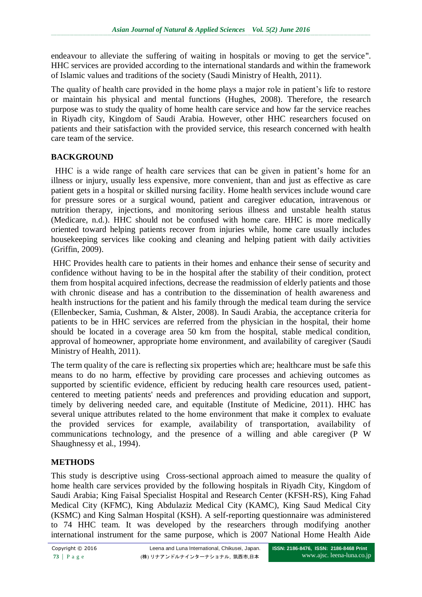endeavour to alleviate the suffering of waiting in hospitals or moving to get the service". HHC services are provided according to the international standards and within the framework of Islamic values and traditions of the society (Saudi Ministry of Health, 2011).

The quality of health care provided in the home plays a major role in patient's life to restore or maintain his physical and mental functions (Hughes, 2008). Therefore, the research purpose was to study the quality of home health care service and how far the service reaches in Riyadh city, Kingdom of Saudi Arabia. However, other HHC researchers focused on patients and their satisfaction with the provided service, this research concerned with health care team of the service.

# **BACKGROUND**

 HHC is a wide range of health care services that can be given in patient's home for an illness or injury, usually less expensive, more convenient, than and just as effective as care patient gets in a hospital or skilled nursing facility. Home health services include wound care for pressure sores or a surgical wound, patient and caregiver education, intravenous or nutrition therapy, injections, and monitoring serious illness and unstable health status (Medicare, n.d.). HHC should not be confused with home care. HHC is more medically oriented toward helping patients recover from injuries while, home care usually includes housekeeping services like cooking and cleaning and helping patient with daily activities (Griffin, 2009).

HHC Provides health care to patients in their homes and enhance their sense of security and confidence without having to be in the hospital after the stability of their condition, protect them from hospital acquired infections, decrease the readmission of elderly patients and those with chronic disease and has a contribution to the dissemination of health awareness and health instructions for the patient and his family through the medical team during the service (Ellenbecker, Samia, Cushman, & Alster, 2008). In Saudi Arabia, the acceptance criteria for patients to be in HHC services are referred from the physician in the hospital, their home should be located in a coverage area 50 km from the hospital, stable medical condition, approval of homeowner, appropriate home environment, and availability of caregiver (Saudi Ministry of Health, 2011).

The term quality of the care is reflecting six properties which are; healthcare must be safe this means to do no harm, effective by providing care processes and achieving outcomes as supported by scientific evidence, efficient by reducing health care resources used, patientcentered to meeting patients' needs and preferences and providing education and support, timely by delivering needed care, and equitable (Institute of Medicine, 2011). HHC has several unique attributes related to the home environment that make it complex to evaluate the provided services for example, availability of transportation, availability of communications technology, and the presence of a willing and able caregiver (P W Shaughnessy et al., 1994).

# **METHODS**

This study is descriptive using Cross-sectional approach aimed to measure the quality of home health care services provided by the following hospitals in Riyadh City, Kingdom of Saudi Arabia; King Faisal Specialist Hospital and Research Center (KFSH-RS), King Fahad Medical City (KFMC), King Abdulaziz Medical City (KAMC), King Saud Medical City (KSMC) and King Salman Hospital (KSH). A self-reporting questionnaire was administered to 74 HHC team. It was developed by the researchers through modifying another international instrument for the same purpose, which is 2007 National Home Health Aide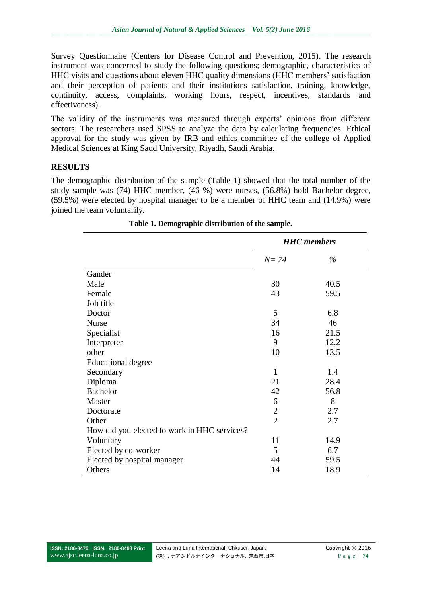Survey Questionnaire (Centers for Disease Control and Prevention, 2015). The research instrument was concerned to study the following questions; demographic, characteristics of HHC visits and questions about eleven HHC quality dimensions (HHC members' satisfaction and their perception of patients and their institutions satisfaction, training, knowledge, continuity, access, complaints, working hours, respect, incentives, standards and effectiveness).

The validity of the instruments was measured through experts' opinions from different sectors. The researchers used SPSS to analyze the data by calculating frequencies. Ethical approval for the study was given by IRB and ethics committee of the college of Applied Medical Sciences at King Saud University, Riyadh, Saudi Arabia.

## **RESULTS**

The demographic distribution of the sample (Table 1) showed that the total number of the study sample was (74) HHC member, (46 %) were nurses, (56.8%) hold Bachelor degree, (59.5%) were elected by hospital manager to be a member of HHC team and (14.9%) were joined the team voluntarily.

|                                              | <b>HHC</b> members |      |  |  |
|----------------------------------------------|--------------------|------|--|--|
|                                              | $N=74$             | $\%$ |  |  |
| Gander                                       |                    |      |  |  |
| Male                                         | 30                 | 40.5 |  |  |
| Female                                       | 43                 | 59.5 |  |  |
| Job title                                    |                    |      |  |  |
| Doctor                                       | 5                  | 6.8  |  |  |
| <b>Nurse</b>                                 | 34                 | 46   |  |  |
| Specialist                                   | 16                 | 21.5 |  |  |
| Interpreter                                  | 9                  | 12.2 |  |  |
| other                                        | 10                 | 13.5 |  |  |
| <b>Educational degree</b>                    |                    |      |  |  |
| Secondary                                    | $\mathbf{1}$       | 1.4  |  |  |
| Diploma                                      | 21                 | 28.4 |  |  |
| <b>Bachelor</b>                              | 42                 | 56.8 |  |  |
| Master                                       | 6                  | 8    |  |  |
| Doctorate                                    | $\overline{2}$     | 2.7  |  |  |
| Other                                        | $\overline{2}$     | 2.7  |  |  |
| How did you elected to work in HHC services? |                    |      |  |  |
| Voluntary                                    | 11                 | 14.9 |  |  |
| Elected by co-worker                         | 5                  | 6.7  |  |  |
| Elected by hospital manager                  | 44                 | 59.5 |  |  |
| Others                                       | 14                 | 18.9 |  |  |

**Table 1. Demographic distribution of the sample.**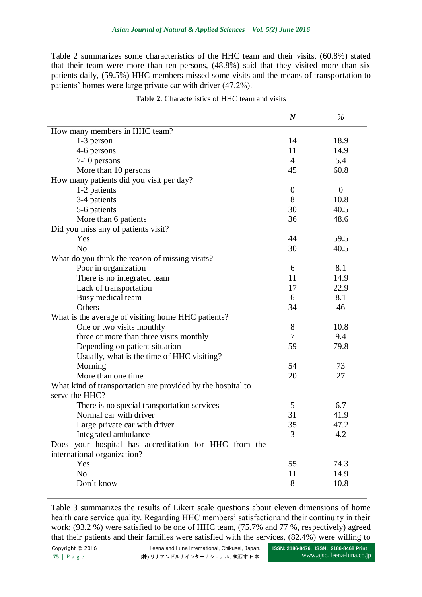Table 2 summarizes some characteristics of the HHC team and their visits, (60.8%) stated that their team were more than ten persons, (48.8%) said that they visited more than six patients daily, (59.5%) HHC members missed some visits and the means of transportation to patients' homes were large private car with driver (47.2%).

|                                                                               | $\boldsymbol{N}$ | $\%$             |
|-------------------------------------------------------------------------------|------------------|------------------|
| How many members in HHC team?                                                 |                  |                  |
| $1-3$ person                                                                  | 14               | 18.9             |
| 4-6 persons                                                                   | 11               | 14.9             |
| 7-10 persons                                                                  | $\overline{4}$   | 5.4              |
| More than 10 persons                                                          | 45               | 60.8             |
| How many patients did you visit per day?                                      |                  |                  |
| 1-2 patients                                                                  | $\overline{0}$   | $\boldsymbol{0}$ |
| 3-4 patients                                                                  | 8                | 10.8             |
| 5-6 patients                                                                  | 30               | 40.5             |
| More than 6 patients                                                          | 36               | 48.6             |
| Did you miss any of patients visit?                                           |                  |                  |
| Yes                                                                           | 44               | 59.5             |
| N <sub>o</sub>                                                                | 30               | 40.5             |
| What do you think the reason of missing visits?                               |                  |                  |
| Poor in organization                                                          | 6                | 8.1              |
| There is no integrated team                                                   | 11               | 14.9             |
| Lack of transportation                                                        | 17               | 22.9             |
| Busy medical team                                                             | 6                | 8.1              |
| Others                                                                        | 34               | 46               |
| What is the average of visiting home HHC patients?                            |                  |                  |
| One or two visits monthly                                                     | 8                | 10.8             |
| three or more than three visits monthly                                       | $\overline{7}$   | 9.4              |
| Depending on patient situation                                                | 59               | 79.8             |
| Usually, what is the time of HHC visiting?                                    |                  |                  |
| Morning                                                                       | 54               | 73               |
| More than one time                                                            | 20               | 27               |
| What kind of transportation are provided by the hospital to<br>serve the HHC? |                  |                  |
| There is no special transportation services                                   | 5                | 6.7              |
| Normal car with driver                                                        | 31               | 41.9             |
| Large private car with driver                                                 | 35               | 47.2             |
| Integrated ambulance                                                          | 3                | 4.2              |
| Does your hospital has accreditation for HHC from the                         |                  |                  |
| international organization?                                                   |                  |                  |
| Yes                                                                           | 55               | 74.3             |
| N <sub>o</sub>                                                                | 11               | 14.9             |
| Don't know                                                                    | 8                | 10.8             |

**Table 2**. Characteristics of HHC team and visits

Table 3 summarizes the results of Likert scale questions about eleven dimensions of home health care service quality. Regarding HHC members' satisfactionand their continuity in their work; (93.2 %) were satisfied to be one of HHC team, (75.7% and 77 %, respectively) agreed that their patients and their families were satisfied with the services, (82.4%) were willing to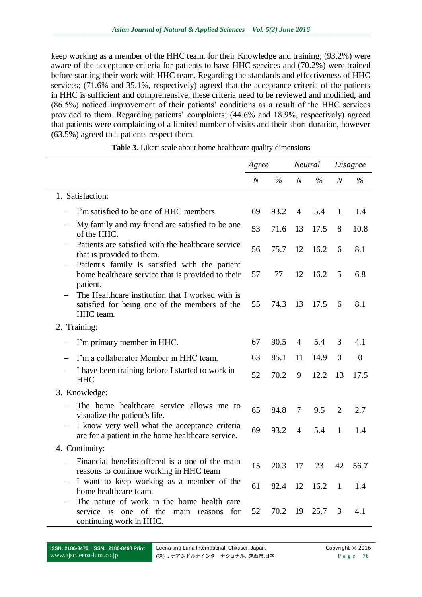keep working as a member of the HHC team. for their Knowledge and training; (93.2%) were aware of the acceptance criteria for patients to have HHC services and (70.2%) were trained before starting their work with HHC team. Regarding the standards and effectiveness of HHC services; (71.6% and 35.1%, respectively) agreed that the acceptance criteria of the patients in HHC is sufficient and comprehensive, these criteria need to be reviewed and modified, and (86.5%) noticed improvement of their patients' conditions as a result of the HHC services provided to them. Regarding patients' complaints; (44.6% and 18.9%, respectively) agreed that patients were complaining of a limited number of visits and their short duration, however (63.5%) agreed that patients respect them.

|                                                                                                                    | Agree            |               | Neutral        |               |                | Disagree       |
|--------------------------------------------------------------------------------------------------------------------|------------------|---------------|----------------|---------------|----------------|----------------|
|                                                                                                                    | $\boldsymbol{N}$ | $\frac{6}{6}$ | $\overline{N}$ | $\frac{6}{6}$ | $\overline{N}$ | $\%$           |
| 1. Satisfaction:                                                                                                   |                  |               |                |               |                |                |
| I'm satisfied to be one of HHC members.                                                                            | 69               | 93.2          | 4              | 5.4           | $\mathbf{1}$   | 1.4            |
| My family and my friend are satisfied to be one<br>of the HHC.                                                     | 53               | 71.6          | 13             | 17.5          | 8              | 10.8           |
| Patients are satisfied with the healthcare service<br>that is provided to them.                                    | 56               | 75.7          | 12             | 16.2          | 6              | 8.1            |
| Patient's family is satisfied with the patient<br>home healthcare service that is provided to their<br>patient.    | 57               | 77            | 12             | 16.2          | 5              | 6.8            |
| The Healthcare institution that I worked with is<br>satisfied for being one of the members of the<br>HHC team.     | 55               | 74.3          | 13             | 17.5          | 6              | 8.1            |
| 2. Training:                                                                                                       |                  |               |                |               |                |                |
| I'm primary member in HHC.                                                                                         | 67               | 90.5          | $\overline{4}$ | 5.4           | 3              | 4.1            |
| I'm a collaborator Member in HHC team.                                                                             | 63               | 85.1          | 11             | 14.9          | $\overline{0}$ | $\overline{0}$ |
| I have been training before I started to work in<br>$\qquad \qquad \blacksquare$<br><b>HHC</b>                     | 52               | 70.2          | 9              | 12.2          | 13             | 17.5           |
| 3. Knowledge:                                                                                                      |                  |               |                |               |                |                |
| The home healthcare service allows me to<br>visualize the patient's life.                                          | 65               | 84.8          | 7              | 9.5           | $\overline{2}$ | 2.7            |
| I know very well what the acceptance criteria<br>are for a patient in the home healthcare service.                 | 69               | 93.2          | $\overline{4}$ | 5.4           | $\mathbf{1}$   | 1.4            |
| 4. Continuity:                                                                                                     |                  |               |                |               |                |                |
| Financial benefits offered is a one of the main<br>reasons to continue working in HHC team                         | 15               | 20.3          | 17             | 23            | 42             | 56.7           |
| I want to keep working as a member of the<br>home healthcare team.                                                 | 61               | 82.4          | 12             | 16.2          | 1              | 1.4            |
| The nature of work in the home health care<br>service is one of the main reasons<br>for<br>continuing work in HHC. | 52               | 70.2          | 19             | 25.7          | 3              | 4.1            |

**Table 3**. Likert scale about home healthcare quality dimensions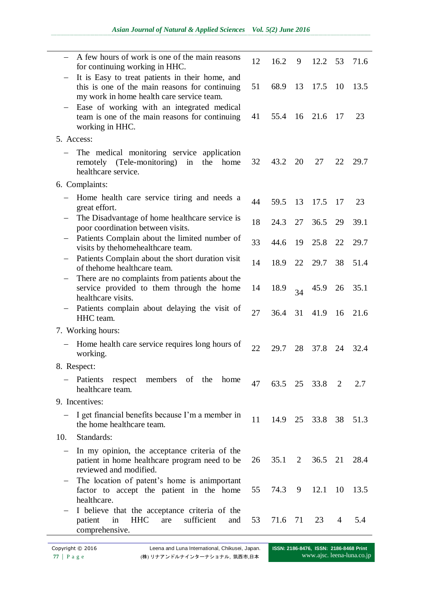|                          | A few hours of work is one of the main reasons<br>for continuing working in HHC.                                                               | 12 | 16.2 | 9  | 12.2           | 53 | 71.6 |  |
|--------------------------|------------------------------------------------------------------------------------------------------------------------------------------------|----|------|----|----------------|----|------|--|
|                          | It is Easy to treat patients in their home, and<br>this is one of the main reasons for continuing<br>my work in home health care service team. | 51 | 68.9 | 13 | 17.5           | 10 | 13.5 |  |
|                          | Ease of working with an integrated medical<br>team is one of the main reasons for continuing<br>working in HHC.                                | 41 | 55.4 |    | 16 21.6        | 17 | 23   |  |
| 5. Access:               |                                                                                                                                                |    |      |    |                |    |      |  |
|                          | The medical monitoring service application<br>(Tele-monitoring)<br>in<br>the<br>home<br>remotely<br>healthcare service.                        | 32 | 43.2 | 20 | 27             | 22 | 29.7 |  |
|                          | 6. Complaints:                                                                                                                                 |    |      |    |                |    |      |  |
|                          | Home health care service tiring and needs a<br>great effort.                                                                                   | 44 | 59.5 | 13 | 17.5           | 17 | 23   |  |
|                          | The Disadvantage of home healthcare service is<br>poor coordination between visits.                                                            | 18 | 24.3 | 27 | 36.5           | 29 | 39.1 |  |
| $\qquad \qquad -$        | Patients Complain about the limited number of<br>visits by the home healthcare team.                                                           | 33 | 44.6 | 19 | 25.8           | 22 | 29.7 |  |
|                          | Patients Complain about the short duration visit<br>of thehome healthcare team.                                                                | 14 | 18.9 | 22 | 29.7           | 38 | 51.4 |  |
| $\equiv$                 | There are no complaints from patients about the<br>service provided to them through the home<br>healthcare visits.                             | 14 | 18.9 | 34 | 45.9           | 26 | 35.1 |  |
|                          | Patients complain about delaying the visit of<br>HHC team.                                                                                     | 27 | 36.4 | 31 | 41.9           | 16 | 21.6 |  |
|                          | 7. Working hours:                                                                                                                              |    |      |    |                |    |      |  |
|                          | Home health care service requires long hours of<br>working.                                                                                    | 22 | 29.7 | 28 | 37.8           | 24 | 32.4 |  |
|                          | 8. Respect:                                                                                                                                    |    |      |    |                |    |      |  |
| $\overline{\phantom{m}}$ | Patients respect members of the<br>home<br>healthcare team.                                                                                    | 47 |      |    | 63.5 25 33.8 2 |    | 2.7  |  |
|                          | 9. Incentives:                                                                                                                                 |    |      |    |                |    |      |  |
|                          | I get financial benefits because I'm a member in<br>the home healthcare team.                                                                  | 11 | 14.9 |    | 25 33.8 38     |    | 51.3 |  |
| 10.                      | Standards:                                                                                                                                     |    |      |    |                |    |      |  |
| $\qquad \qquad -$        | In my opinion, the acceptance criteria of the<br>patient in home healthcare program need to be<br>reviewed and modified.                       | 26 | 35.1 |    | 2 36.5 21 28.4 |    |      |  |
|                          | The location of patent's home is animportant<br>factor to accept the patient in the home<br>healthcare.                                        | 55 | 74.3 | 9  | 12.1           | 10 | 13.5 |  |
|                          | I believe that the acceptance criteria of the<br><b>HHC</b><br>sufficient<br>in<br>patient<br>are<br>and<br>comprehensive.                     | 53 | 71.6 | 71 | 23             | 4  | 5.4  |  |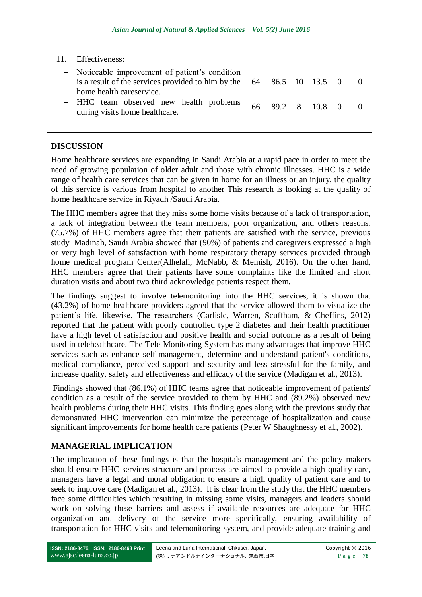#### 11. Effectiveness:

| - Noticeable improvement of patient's condition<br>is a result of the services provided to him by the $64$ 86.5 10 13.5 0 |  |                  |  |
|---------------------------------------------------------------------------------------------------------------------------|--|------------------|--|
| home health careservice.<br>- HHC team observed new health problems<br>during visits home healthcare.                     |  | 66 89.2 8 10.8 0 |  |

### **DISCUSSION**

Home healthcare services are expanding in Saudi Arabia at a rapid pace in order to meet the need of growing population of older adult and those with chronic illnesses. HHC is a wide range of health care services that can be given in home for an illness or an injury, the quality of this service is various from hospital to another This research is looking at the quality of home healthcare service in Riyadh /Saudi Arabia.

The HHC members agree that they miss some home visits because of a lack of transportation, a lack of integration between the team members, poor organization, and others reasons. (75.7%) of HHC members agree that their patients are satisfied with the service, previous study Madinah, Saudi Arabia showed that (90%) of patients and caregivers expressed a high or very high level of satisfaction with home respiratory therapy services provided through home medical program Center(Alhelali, McNabb, & Memish, 2016). On the other hand, HHC members agree that their patients have some complaints like the limited and short duration visits and about two third acknowledge patients respect them.

The findings suggest to involve telemonitoring into the HHC services, it is shown that (43.2%) of home healthcare providers agreed that the service allowed them to visualize the patient's life. likewise, The researchers (Carlisle, Warren, Scuffham, & Cheffins, 2012) reported that the patient with poorly controlled type 2 diabetes and their health practitioner have a high level of satisfaction and positive health and social outcome as a result of being used in telehealthcare. The Tele-Monitoring System has many advantages that improve HHC services such as enhance self-management, determine and understand patient's conditions, medical compliance, perceived support and security and less stressful for the family, and increase quality, safety and effectiveness and efficacy of the service (Madigan et al., 2013).

Findings showed that (86.1%) of HHC teams agree that noticeable improvement of patients' condition as a result of the service provided to them by HHC and (89.2%) observed new health problems during their HHC visits. This finding goes along with the previous study that demonstrated HHC intervention can minimize the percentage of hospitalization and cause significant improvements for home health care patients (Peter W Shaughnessy et al., 2002).

# **MANAGERIAL IMPLICATION**

The implication of these findings is that the hospitals management and the policy makers should ensure HHC services structure and process are aimed to provide a high-quality care, managers have a legal and moral obligation to ensure a high quality of patient care and to seek to improve care (Madigan et al., 2013). It is clear from the study that the HHC members face some difficulties which resulting in missing some visits, managers and leaders should work on solving these barriers and assess if available resources are adequate for HHC organization and delivery of the service more specifically, ensuring availability of transportation for HHC visits and telemonitoring system, and provide adequate training and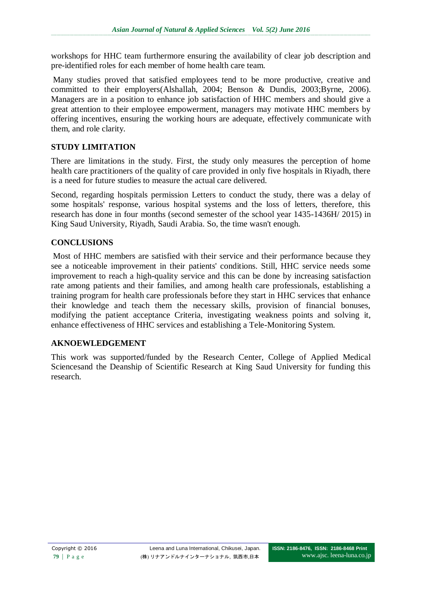workshops for HHC team furthermore ensuring the availability of clear job description and pre-identified roles for each member of home health care team.

Many studies proved that satisfied employees tend to be more productive, creative and committed to their employers(Alshallah, 2004; Benson & Dundis, 2003;Byrne, 2006). Managers are in a position to enhance job satisfaction of HHC members and should give a great attention to their employee empowerment, managers may motivate HHC members by offering incentives, ensuring the working hours are adequate, effectively communicate with them, and role clarity.

# **STUDY LIMITATION**

There are limitations in the study. First, the study only measures the perception of home health care practitioners of the quality of care provided in only five hospitals in Riyadh, there is a need for future studies to measure the actual care delivered.

Second, regarding hospitals permission Letters to conduct the study, there was a delay of some hospitals' response, various hospital systems and the loss of letters, therefore, this research has done in four months (second semester of the school year 1435-1436H/ 2015) in King Saud University, Riyadh, Saudi Arabia. So, the time wasn't enough.

## **CONCLUSIONS**

Most of HHC members are satisfied with their service and their performance because they see a noticeable improvement in their patients' conditions. Still, HHC service needs some improvement to reach a high-quality service and this can be done by increasing satisfaction rate among patients and their families, and among health care professionals, establishing a training program for health care professionals before they start in HHC services that enhance their knowledge and teach them the necessary skills, provision of financial bonuses, modifying the patient acceptance Criteria, investigating weakness points and solving it, enhance effectiveness of HHC services and establishing a Tele-Monitoring System.

### **AKNOEWLEDGEMENT**

This work was supported/funded by the Research Center, College of Applied Medical Sciencesand the Deanship of Scientific Research at King Saud University for funding this research.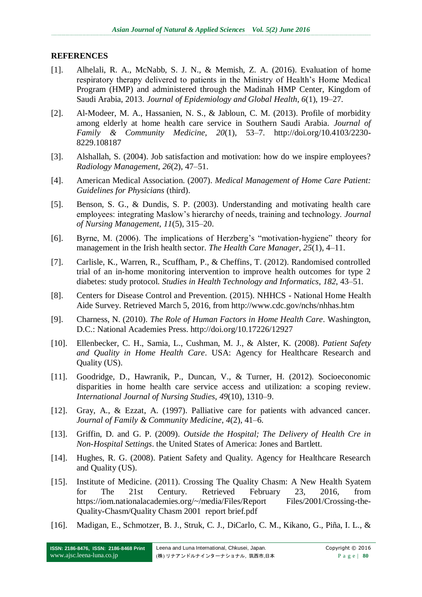### **REFERENCES**

- [1]. Alhelali, R. A., McNabb, S. J. N., & Memish, Z. A. (2016). Evaluation of home respiratory therapy delivered to patients in the Ministry of Health's Home Medical Program (HMP) and administered through the Madinah HMP Center, Kingdom of Saudi Arabia, 2013. *Journal of Epidemiology and Global Health*, *6*(1), 19–27.
- [2]. Al-Modeer, M. A., Hassanien, N. S., & Jabloun, C. M. (2013). Profile of morbidity among elderly at home health care service in Southern Saudi Arabia. *Journal of Family & Community Medicine*, *20*(1), 53–7. http://doi.org/10.4103/2230- 8229.108187
- [3]. Alshallah, S. (2004). Job satisfaction and motivation: how do we inspire employees? *Radiology Management*, *26*(2), 47–51.
- [4]. American Medical Association. (2007). *Medical Management of Home Care Patient: Guidelines for Physicians* (third).
- [5]. Benson, S. G., & Dundis, S. P. (2003). Understanding and motivating health care employees: integrating Maslow's hierarchy of needs, training and technology. *Journal of Nursing Management*, *11*(5), 315–20.
- [6]. Byrne, M. (2006). The implications of Herzberg's "motivation-hygiene" theory for management in the Irish health sector. *The Health Care Manager*, *25*(1), 4–11.
- [7]. Carlisle, K., Warren, R., Scuffham, P., & Cheffins, T. (2012). Randomised controlled trial of an in-home monitoring intervention to improve health outcomes for type 2 diabetes: study protocol. *Studies in Health Technology and Informatics*, *182*, 43–51.
- [8]. Centers for Disease Control and Prevention. (2015). NHHCS National Home Health Aide Survey. Retrieved March 5, 2016, from http://www.cdc.gov/nchs/nhhas.htm
- [9]. Charness, N. (2010). *The Role of Human Factors in Home Health Care*. Washington, D.C.: National Academies Press. http://doi.org/10.17226/12927
- [10]. Ellenbecker, C. H., Samia, L., Cushman, M. J., & Alster, K. (2008). *Patient Safety and Quality in Home Health Care*. USA: Agency for Healthcare Research and Quality (US).
- [11]. Goodridge, D., Hawranik, P., Duncan, V., & Turner, H. (2012). Socioeconomic disparities in home health care service access and utilization: a scoping review. *International Journal of Nursing Studies*, *49*(10), 1310–9.
- [12]. Gray, A., & Ezzat, A. (1997). Palliative care for patients with advanced cancer. *Journal of Family & Community Medicine*, *4*(2), 41–6.
- [13]. Griffin, D. and G. P. (2009). *Outside the Hospital; The Delivery of Health Cre in Non-Hospital Settings*. the United States of America: Jones and Bartlett.
- [14]. Hughes, R. G. (2008). Patient Safety and Quality. Agency for Healthcare Research and Quality (US).
- [15]. Institute of Medicine. (2011). Crossing The Quality Chasm: A New Health Syatem for The 21st Century. Retrieved February 23, 2016, from https://iom.nationalacademies.org/~/media/Files/Report Files/2001/Crossing-the-Quality-Chasm/Quality Chasm 2001 report brief.pdf
- [16]. Madigan, E., Schmotzer, B. J., Struk, C. J., DiCarlo, C. M., Kikano, G., Piña, I. L., &